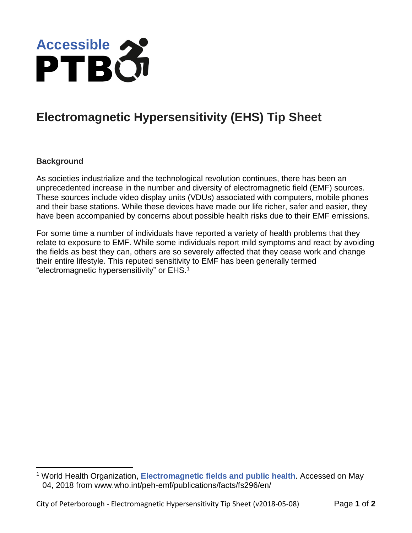

## **Electromagnetic Hypersensitivity (EHS) Tip Sheet**

## **Background**

 $\overline{a}$ 

As societies industrialize and the technological revolution continues, there has been an unprecedented increase in the number and diversity of electromagnetic field (EMF) sources. These sources include video display units (VDUs) associated with computers, mobile phones and their base stations. While these devices have made our life richer, safer and easier, they have been accompanied by concerns about possible health risks due to their EMF emissions.

For some time a number of individuals have reported a variety of health problems that they relate to exposure to EMF. While some individuals report mild symptoms and react by avoiding the fields as best they can, others are so severely affected that they cease work and change their entire lifestyle. This reputed sensitivity to EMF has been generally termed "electromagnetic hypersensitivity" or EHS.<sup>1</sup>

<sup>1</sup> World Health Organization, **[Electromagnetic fields and public health](http://www.who.int/peh-emf/publications/facts/fs296/en/)**. Accessed on May 04, 2018 from www.who.int/peh-emf/publications/facts/fs296/en/